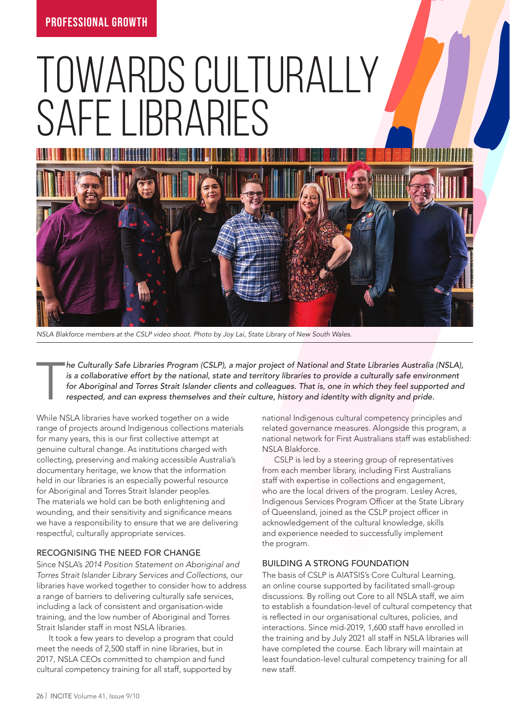# TOWARDS CULTURALLY SAFF LIBRARIES



*NSLA Blakforce members at the CSLP video shoot. Photo by Joy Lai, State Library of New South Wales.*

T *he Culturally Safe Libraries Program (CSLP), a major project of National and State Libraries Australia (NSLA), is a collaborative effort by the national, state and territory libraries to provide a culturally safe environment* for Aboriginal and Torres Strait Islander clients and colleagues. That is, one in which they feel supported and respected, and can express themselves and their culture, history and identity with dignity and pride.

While NSLA libraries have worked together on a wide range of projects around Indigenous collections materials for many years, this is our first collective attempt at genuine cultural change. As institutions charged with collecting, preserving and making accessible Australia's documentary heritage, we know that the information held in our libraries is an especially powerful resource for Aboriginal and Torres Strait Islander peoples. The materials we hold can be both enlightening and wounding, and their sensitivity and significance means we have a responsibility to ensure that we are delivering respectful, culturally appropriate services.

# RECOGNISING THE NEED FOR CHANGE

Since NSLA's *2014 Position Statement on Aboriginal and Torres Strait Islander Library Services and Collections*, our libraries have worked together to consider how to address a range of barriers to delivering culturally safe services, including a lack of consistent and organisation-wide training, and the low number of Aboriginal and Torres Strait Islander staff in most NSLA libraries.

It took a few years to develop a program that could meet the needs of 2,500 staff in nine libraries, but in 2017, NSLA CEOs committed to champion and fund cultural competency training for all staff, supported by

national Indigenous cultural competency principles and related governance measures. Alongside this program, a national network for First Australians staff was established: NSLA Blakforce.

CSLP is led by a steering group of representatives from each member library, including First Australians staff with expertise in collections and engagement, who are the local drivers of the program. Lesley Acres, Indigenous Services Program Officer at the State Library of Queensland, joined as the CSLP project officer in acknowledgement of the cultural knowledge, skills and experience needed to successfully implement the program.

# BUILDING A STRONG FOUNDATION

The basis of CSLP is AIATSIS's Core Cultural Learning, an online course supported by facilitated small-group discussions. By rolling out Core to all NSLA staff, we aim to establish a foundation-level of cultural competency that is reflected in our organisational cultures, policies, and interactions. Since mid-2019, 1,600 staff have enrolled in the training and by July 2021 all staff in NSLA libraries will have completed the course. Each library will maintain at least foundation-level cultural competency training for all new staff.